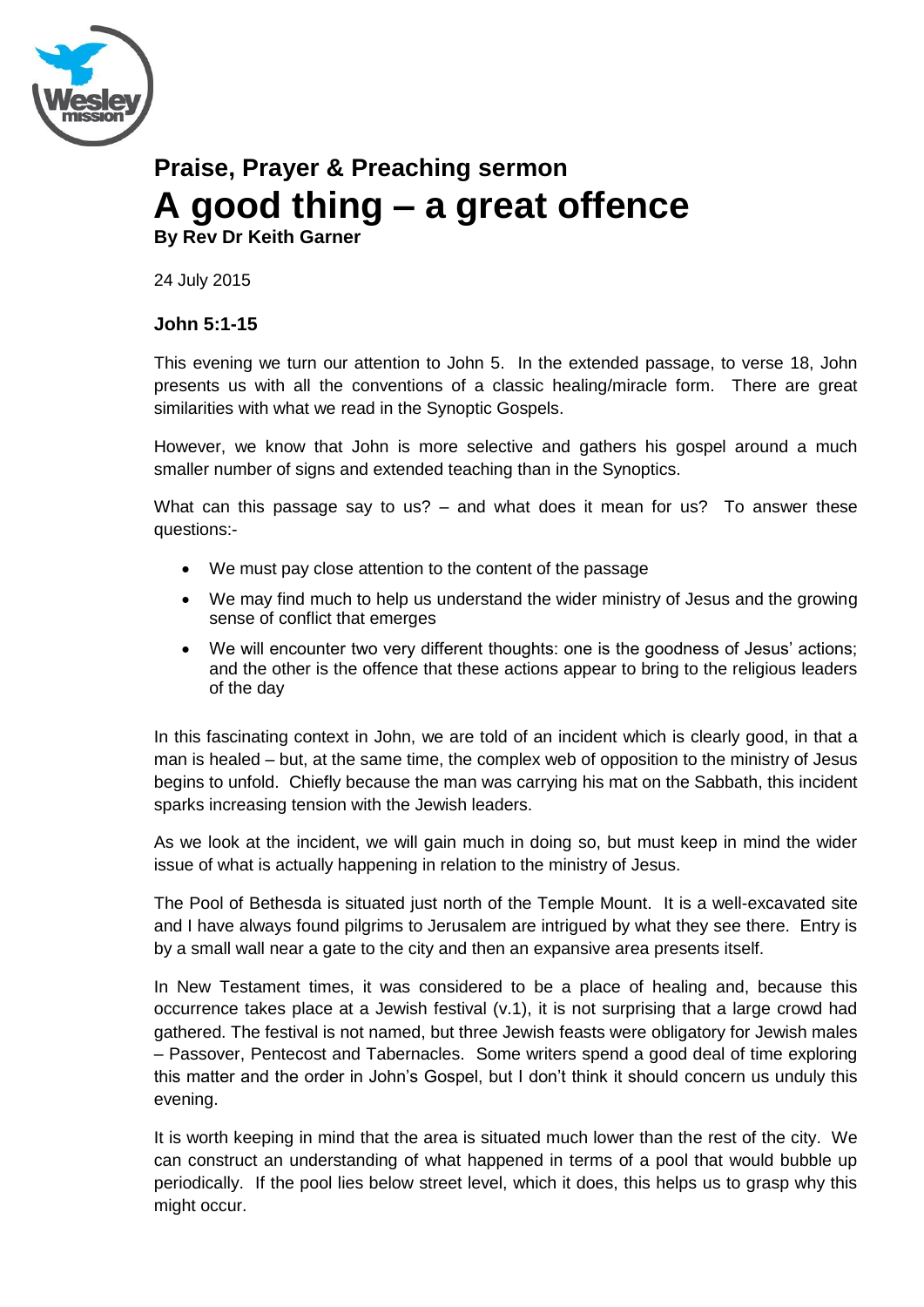

# **Praise, Prayer & Preaching sermon A good thing – a great offence**

**By Rev Dr Keith Garner**

24 July 2015

## **John 5:1-15**

This evening we turn our attention to John 5. In the extended passage, to verse 18, John presents us with all the conventions of a classic healing/miracle form. There are great similarities with what we read in the Synoptic Gospels.

However, we know that John is more selective and gathers his gospel around a much smaller number of signs and extended teaching than in the Synoptics.

What can this passage say to us? – and what does it mean for us? To answer these questions:-

- We must pay close attention to the content of the passage
- We may find much to help us understand the wider ministry of Jesus and the growing sense of conflict that emerges
- We will encounter two very different thoughts: one is the goodness of Jesus' actions; and the other is the offence that these actions appear to bring to the religious leaders of the day

In this fascinating context in John, we are told of an incident which is clearly good, in that a man is healed – but, at the same time, the complex web of opposition to the ministry of Jesus begins to unfold. Chiefly because the man was carrying his mat on the Sabbath, this incident sparks increasing tension with the Jewish leaders.

As we look at the incident, we will gain much in doing so, but must keep in mind the wider issue of what is actually happening in relation to the ministry of Jesus.

The Pool of Bethesda is situated just north of the Temple Mount. It is a well-excavated site and I have always found pilgrims to Jerusalem are intrigued by what they see there. Entry is by a small wall near a gate to the city and then an expansive area presents itself.

In New Testament times, it was considered to be a place of healing and, because this occurrence takes place at a Jewish festival (v.1), it is not surprising that a large crowd had gathered. The festival is not named, but three Jewish feasts were obligatory for Jewish males – Passover, Pentecost and Tabernacles. Some writers spend a good deal of time exploring this matter and the order in John's Gospel, but I don't think it should concern us unduly this evening.

It is worth keeping in mind that the area is situated much lower than the rest of the city. We can construct an understanding of what happened in terms of a pool that would bubble up periodically. If the pool lies below street level, which it does, this helps us to grasp why this might occur.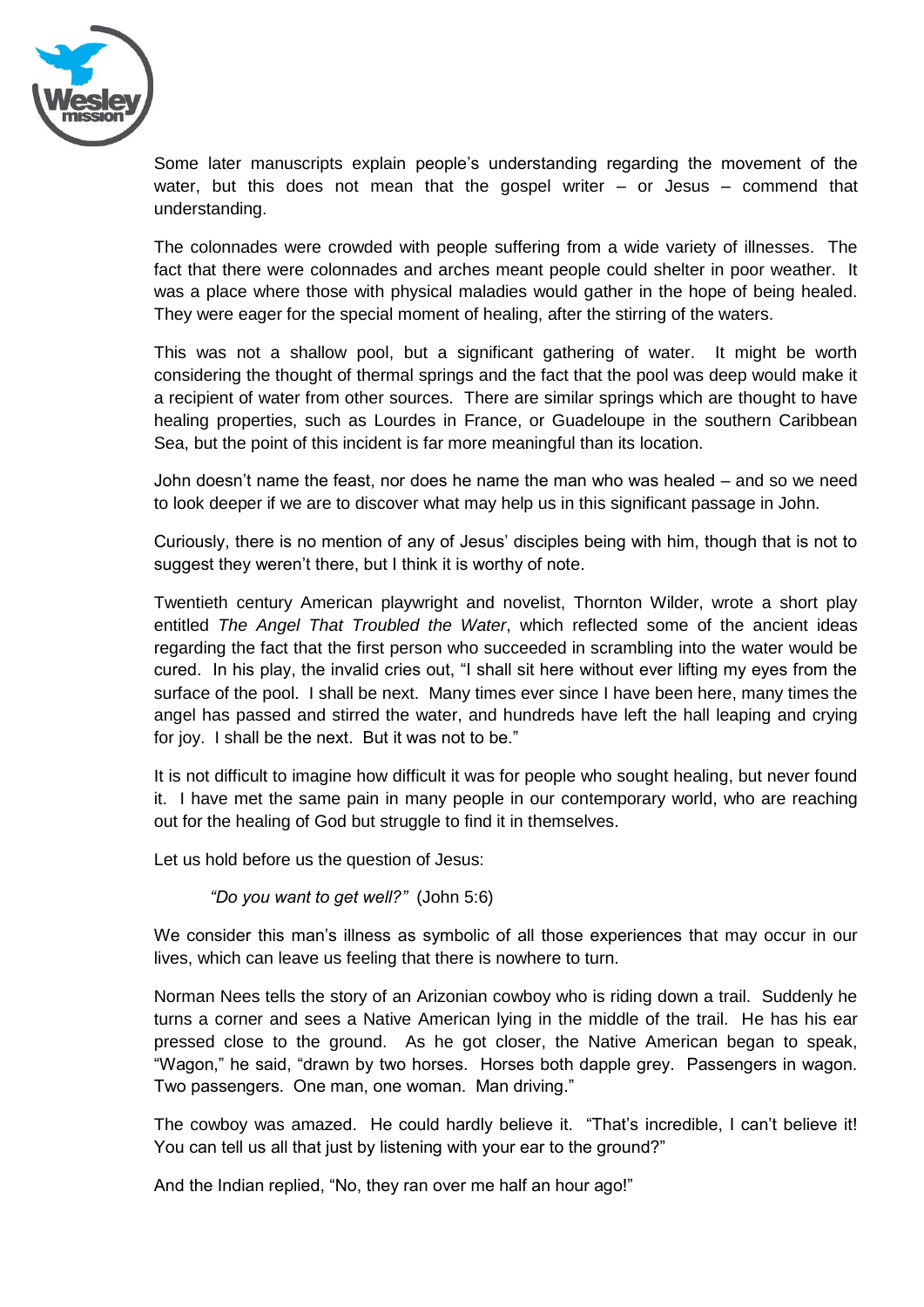

Some later manuscripts explain people's understanding regarding the movement of the water, but this does not mean that the gospel writer  $-$  or Jesus  $-$  commend that understanding.

The colonnades were crowded with people suffering from a wide variety of illnesses. The fact that there were colonnades and arches meant people could shelter in poor weather. It was a place where those with physical maladies would gather in the hope of being healed. They were eager for the special moment of healing, after the stirring of the waters.

This was not a shallow pool, but a significant gathering of water. It might be worth considering the thought of thermal springs and the fact that the pool was deep would make it a recipient of water from other sources. There are similar springs which are thought to have healing properties, such as Lourdes in France, or Guadeloupe in the southern Caribbean Sea, but the point of this incident is far more meaningful than its location.

John doesn't name the feast, nor does he name the man who was healed – and so we need to look deeper if we are to discover what may help us in this significant passage in John.

Curiously, there is no mention of any of Jesus' disciples being with him, though that is not to suggest they weren't there, but I think it is worthy of note.

Twentieth century American playwright and novelist, Thornton Wilder, wrote a short play entitled *The Angel That Troubled the Water*, which reflected some of the ancient ideas regarding the fact that the first person who succeeded in scrambling into the water would be cured. In his play, the invalid cries out, "I shall sit here without ever lifting my eyes from the surface of the pool. I shall be next. Many times ever since I have been here, many times the angel has passed and stirred the water, and hundreds have left the hall leaping and crying for joy. I shall be the next. But it was not to be."

It is not difficult to imagine how difficult it was for people who sought healing, but never found it. I have met the same pain in many people in our contemporary world, who are reaching out for the healing of God but struggle to find it in themselves.

Let us hold before us the question of Jesus:

*"Do you want to get well?"* (John 5:6)

We consider this man's illness as symbolic of all those experiences that may occur in our lives, which can leave us feeling that there is nowhere to turn.

Norman Nees tells the story of an Arizonian cowboy who is riding down a trail. Suddenly he turns a corner and sees a Native American lying in the middle of the trail. He has his ear pressed close to the ground. As he got closer, the Native American began to speak, "Wagon," he said, "drawn by two horses. Horses both dapple grey. Passengers in wagon. Two passengers. One man, one woman. Man driving."

The cowboy was amazed. He could hardly believe it. "That's incredible, I can't believe it! You can tell us all that just by listening with your ear to the ground?"

And the Indian replied, "No, they ran over me half an hour ago!"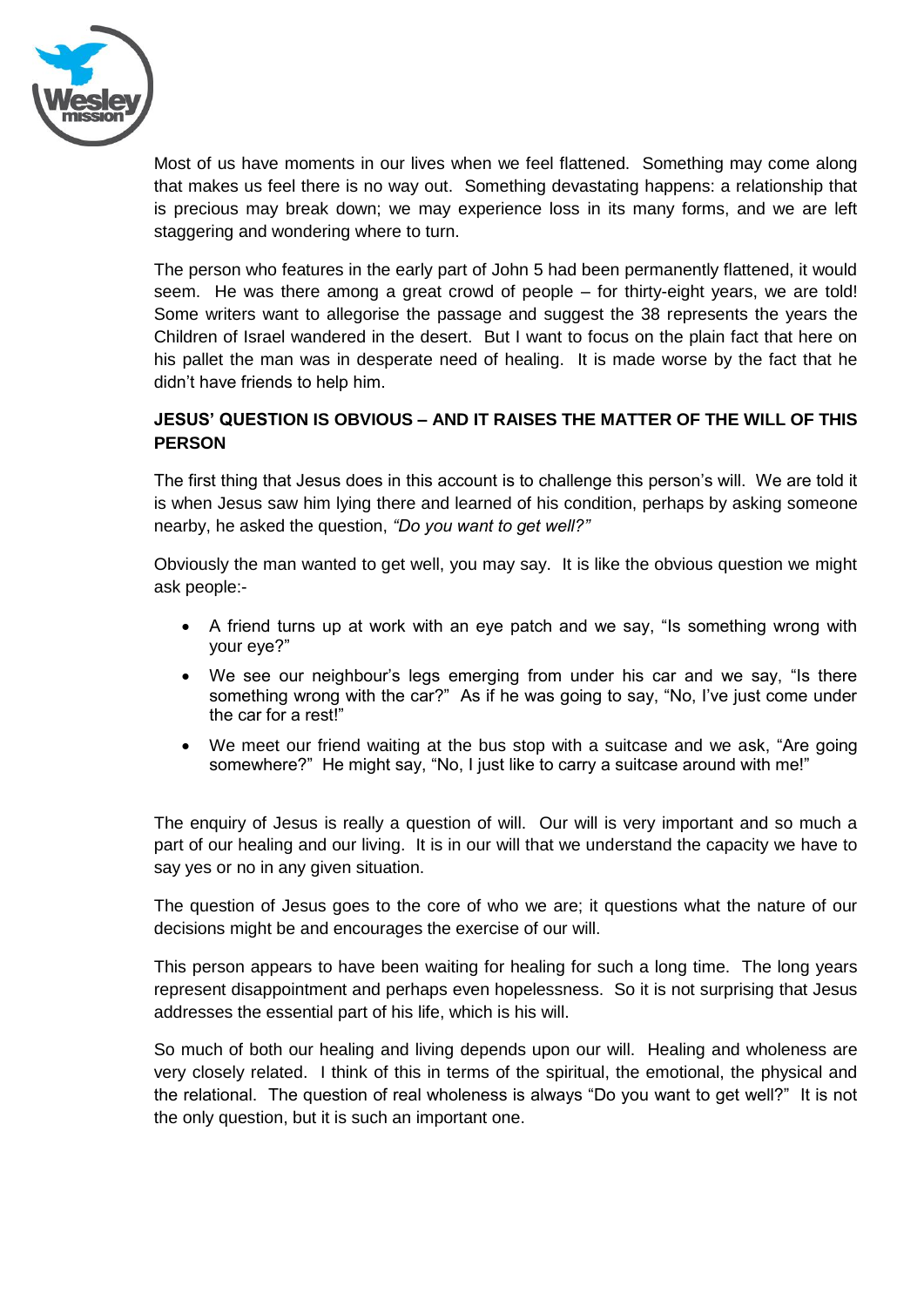

Most of us have moments in our lives when we feel flattened. Something may come along that makes us feel there is no way out. Something devastating happens: a relationship that is precious may break down; we may experience loss in its many forms, and we are left staggering and wondering where to turn.

The person who features in the early part of John 5 had been permanently flattened, it would seem. He was there among a great crowd of people – for thirty-eight years, we are told! Some writers want to allegorise the passage and suggest the 38 represents the years the Children of Israel wandered in the desert. But I want to focus on the plain fact that here on his pallet the man was in desperate need of healing. It is made worse by the fact that he didn't have friends to help him.

## **JESUS' QUESTION IS OBVIOUS – AND IT RAISES THE MATTER OF THE WILL OF THIS PERSON**

The first thing that Jesus does in this account is to challenge this person's will. We are told it is when Jesus saw him lying there and learned of his condition, perhaps by asking someone nearby, he asked the question, *"Do you want to get well?"*

Obviously the man wanted to get well, you may say. It is like the obvious question we might ask people:-

- A friend turns up at work with an eye patch and we say, "Is something wrong with your eye?"
- We see our neighbour's legs emerging from under his car and we say, "Is there something wrong with the car?" As if he was going to say, "No, I've just come under the car for a rest!"
- We meet our friend waiting at the bus stop with a suitcase and we ask, "Are going somewhere?" He might say, "No, I just like to carry a suitcase around with me!"

The enquiry of Jesus is really a question of will. Our will is very important and so much a part of our healing and our living. It is in our will that we understand the capacity we have to say yes or no in any given situation.

The question of Jesus goes to the core of who we are; it questions what the nature of our decisions might be and encourages the exercise of our will.

This person appears to have been waiting for healing for such a long time. The long years represent disappointment and perhaps even hopelessness. So it is not surprising that Jesus addresses the essential part of his life, which is his will.

So much of both our healing and living depends upon our will. Healing and wholeness are very closely related. I think of this in terms of the spiritual, the emotional, the physical and the relational. The question of real wholeness is always "Do you want to get well?" It is not the only question, but it is such an important one.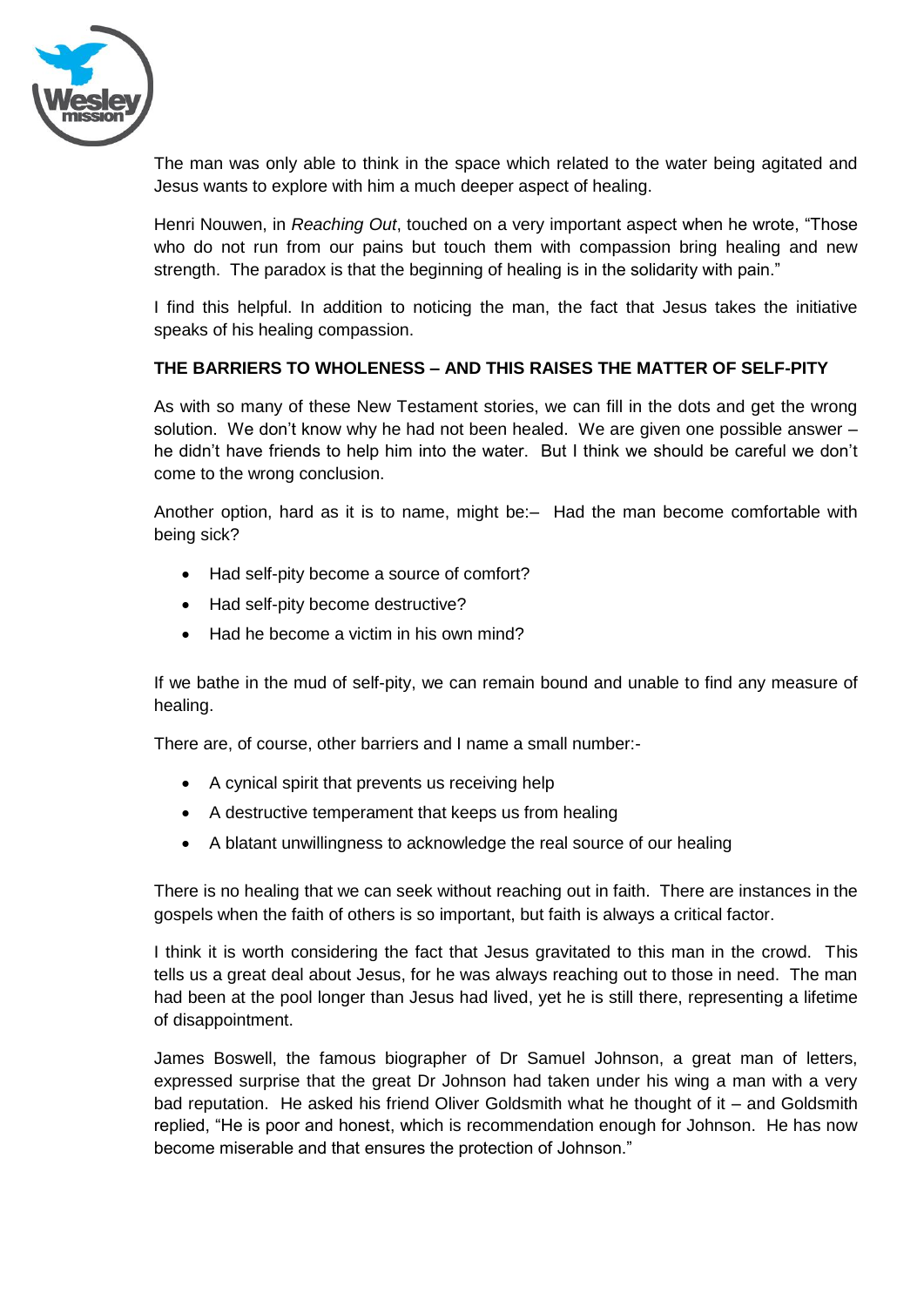

The man was only able to think in the space which related to the water being agitated and Jesus wants to explore with him a much deeper aspect of healing.

Henri Nouwen, in *Reaching Out*, touched on a very important aspect when he wrote, "Those who do not run from our pains but touch them with compassion bring healing and new strength. The paradox is that the beginning of healing is in the solidarity with pain."

I find this helpful. In addition to noticing the man, the fact that Jesus takes the initiative speaks of his healing compassion.

#### **THE BARRIERS TO WHOLENESS – AND THIS RAISES THE MATTER OF SELF-PITY**

As with so many of these New Testament stories, we can fill in the dots and get the wrong solution. We don't know why he had not been healed. We are given one possible answer – he didn't have friends to help him into the water. But I think we should be careful we don't come to the wrong conclusion.

Another option, hard as it is to name, might be:– Had the man become comfortable with being sick?

- Had self-pity become a source of comfort?
- Had self-pity become destructive?
- Had he become a victim in his own mind?

If we bathe in the mud of self-pity, we can remain bound and unable to find any measure of healing.

There are, of course, other barriers and I name a small number:-

- A cynical spirit that prevents us receiving help
- A destructive temperament that keeps us from healing
- A blatant unwillingness to acknowledge the real source of our healing

There is no healing that we can seek without reaching out in faith. There are instances in the gospels when the faith of others is so important, but faith is always a critical factor.

I think it is worth considering the fact that Jesus gravitated to this man in the crowd. This tells us a great deal about Jesus, for he was always reaching out to those in need. The man had been at the pool longer than Jesus had lived, yet he is still there, representing a lifetime of disappointment.

James Boswell, the famous biographer of Dr Samuel Johnson, a great man of letters, expressed surprise that the great Dr Johnson had taken under his wing a man with a very bad reputation. He asked his friend Oliver Goldsmith what he thought of it – and Goldsmith replied, "He is poor and honest, which is recommendation enough for Johnson. He has now become miserable and that ensures the protection of Johnson."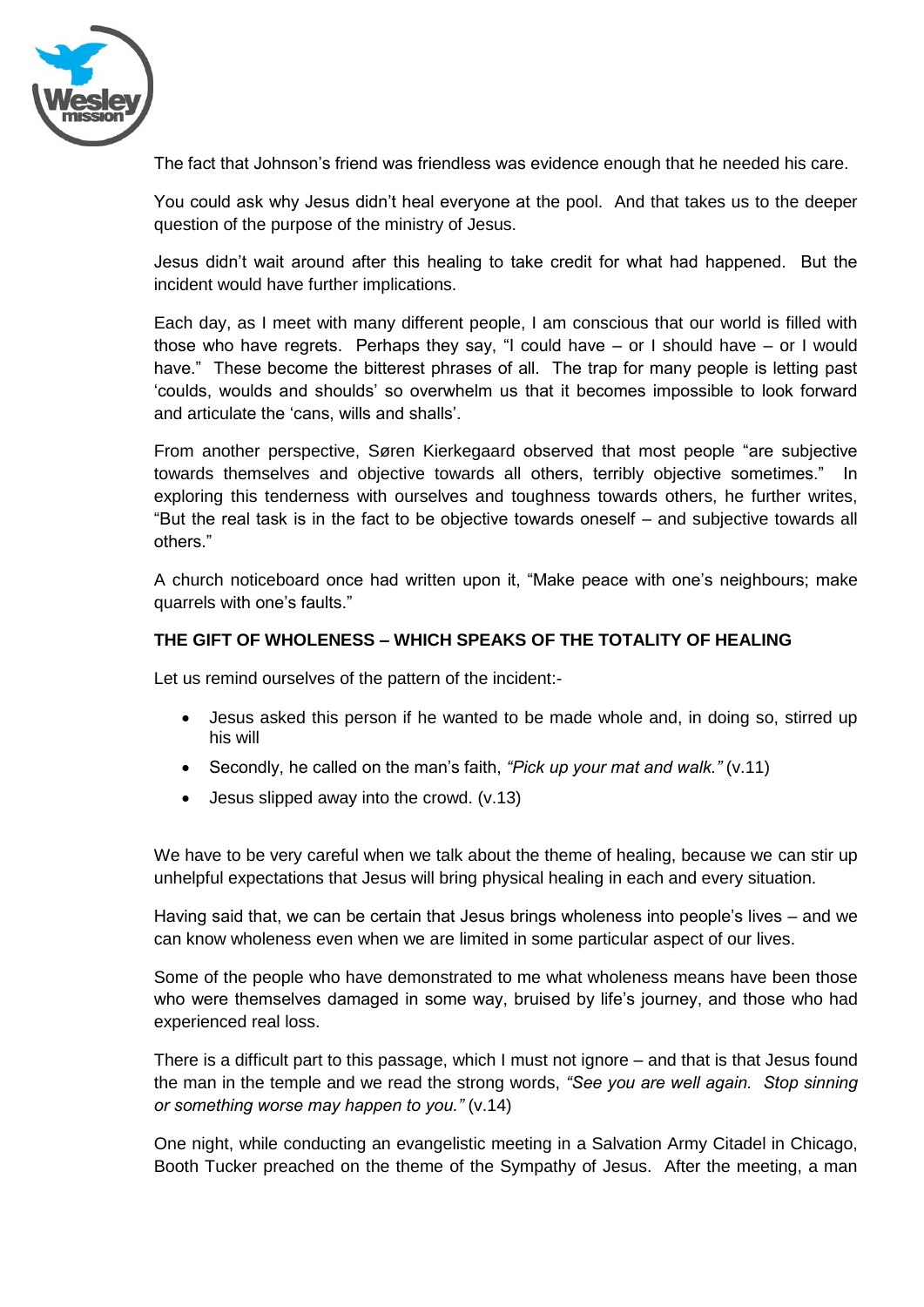

The fact that Johnson's friend was friendless was evidence enough that he needed his care.

You could ask why Jesus didn't heal everyone at the pool. And that takes us to the deeper question of the purpose of the ministry of Jesus.

Jesus didn't wait around after this healing to take credit for what had happened. But the incident would have further implications.

Each day, as I meet with many different people, I am conscious that our world is filled with those who have regrets. Perhaps they say, "I could have – or I should have – or I would have." These become the bitterest phrases of all. The trap for many people is letting past 'coulds, woulds and shoulds' so overwhelm us that it becomes impossible to look forward and articulate the 'cans, wills and shalls'.

From another perspective, Søren Kierkegaard observed that most people "are subjective towards themselves and objective towards all others, terribly objective sometimes." In exploring this tenderness with ourselves and toughness towards others, he further writes, "But the real task is in the fact to be objective towards oneself – and subjective towards all others."

A church noticeboard once had written upon it, "Make peace with one's neighbours; make quarrels with one's faults."

#### **THE GIFT OF WHOLENESS – WHICH SPEAKS OF THE TOTALITY OF HEALING**

Let us remind ourselves of the pattern of the incident:-

- Jesus asked this person if he wanted to be made whole and, in doing so, stirred up his will
- Secondly, he called on the man's faith, *"Pick up your mat and walk."* (v.11)
- Jesus slipped away into the crowd. (v.13)

We have to be very careful when we talk about the theme of healing, because we can stir up unhelpful expectations that Jesus will bring physical healing in each and every situation.

Having said that, we can be certain that Jesus brings wholeness into people's lives – and we can know wholeness even when we are limited in some particular aspect of our lives.

Some of the people who have demonstrated to me what wholeness means have been those who were themselves damaged in some way, bruised by life's journey, and those who had experienced real loss.

There is a difficult part to this passage, which I must not ignore – and that is that Jesus found the man in the temple and we read the strong words, *"See you are well again. Stop sinning or something worse may happen to you."* (v.14)

One night, while conducting an evangelistic meeting in a Salvation Army Citadel in Chicago, Booth Tucker preached on the theme of the Sympathy of Jesus. After the meeting, a man